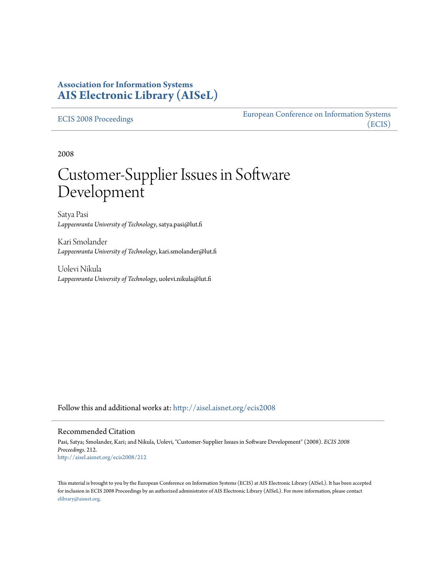## **Association for Information Systems [AIS Electronic Library \(AISeL\)](http://aisel.aisnet.org?utm_source=aisel.aisnet.org%2Fecis2008%2F212&utm_medium=PDF&utm_campaign=PDFCoverPages)**

#### [ECIS 2008 Proceedings](http://aisel.aisnet.org/ecis2008?utm_source=aisel.aisnet.org%2Fecis2008%2F212&utm_medium=PDF&utm_campaign=PDFCoverPages)

[European Conference on Information Systems](http://aisel.aisnet.org/ecis?utm_source=aisel.aisnet.org%2Fecis2008%2F212&utm_medium=PDF&utm_campaign=PDFCoverPages) [\(ECIS\)](http://aisel.aisnet.org/ecis?utm_source=aisel.aisnet.org%2Fecis2008%2F212&utm_medium=PDF&utm_campaign=PDFCoverPages)

2008

# Customer-Supplier Issues in Software Development

Satya Pasi *Lappeenranta University of Technology*, satya.pasi@lut.fi

Kari Smolander *Lappeenranta University of Technology*, kari.smolander@lut.fi

Uolevi Nikula *Lappeenranta University of Technology*, uolevi.nikula@lut.fi

Follow this and additional works at: [http://aisel.aisnet.org/ecis2008](http://aisel.aisnet.org/ecis2008?utm_source=aisel.aisnet.org%2Fecis2008%2F212&utm_medium=PDF&utm_campaign=PDFCoverPages)

#### Recommended Citation

Pasi, Satya; Smolander, Kari; and Nikula, Uolevi, "Customer-Supplier Issues in Software Development" (2008). *ECIS 2008 Proceedings*. 212. [http://aisel.aisnet.org/ecis2008/212](http://aisel.aisnet.org/ecis2008/212?utm_source=aisel.aisnet.org%2Fecis2008%2F212&utm_medium=PDF&utm_campaign=PDFCoverPages)

This material is brought to you by the European Conference on Information Systems (ECIS) at AIS Electronic Library (AISeL). It has been accepted for inclusion in ECIS 2008 Proceedings by an authorized administrator of AIS Electronic Library (AISeL). For more information, please contact [elibrary@aisnet.org.](mailto:elibrary@aisnet.org%3E)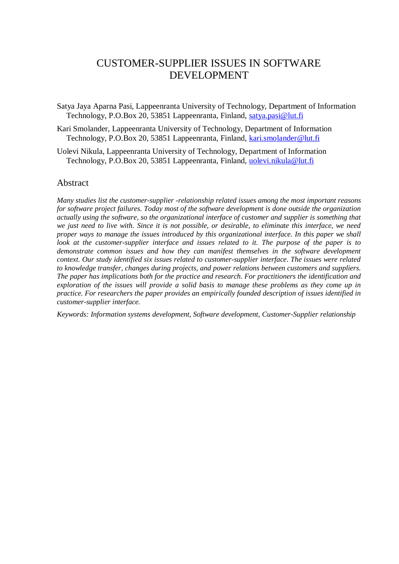# CUSTOMER-SUPPLIER ISSUES IN SOFTWARE DEVELOPMENT

Satya Jaya Aparna Pasi, Lappeenranta University of Technology, Department of Information Technology, P.O.Box 20, 53851 Lappeenranta, Finland, [satya.pasi@lut.fi](mailto:satya.pasi@lut.fi)

- Kari Smolander, Lappeenranta University of Technology, Department of Information Technology, P.O.Box 20, 53851 Lappeenranta, Finland, [kari.smolander@lut.fi](mailto:kari.smolander@lut.fi)
- Uolevi Nikula, Lappeenranta University of Technology, Department of Information Technology, P.O.Box 20, 53851 Lappeenranta, Finland, [uolevi.nikula@lut.fi](mailto:uolevi.nikula@lut.fi)

## Abstract

*Many studies list the customer-supplier -relationship related issues among the most important reasons for software project failures. Today most of the software development is done outside the organization actually using the software, so the organizational interface of customer and supplier is something that we just need to live with. Since it is not possible, or desirable, to eliminate this interface, we need proper ways to manage the issues introduced by this organizational interface. In this paper we shall look at the customer-supplier interface and issues related to it. The purpose of the paper is to demonstrate common issues and how they can manifest themselves in the software development context. Our study identified six issues related to customer-supplier interface. The issues were related to knowledge transfer, changes during projects, and power relations between customers and suppliers. The paper has implications both for the practice and research. For practitioners the identification and exploration of the issues will provide a solid basis to manage these problems as they come up in practice. For researchers the paper provides an empirically founded description of issues identified in customer-supplier interface.*

*Keywords: Information systems development, Software development, Customer-Supplier relationship*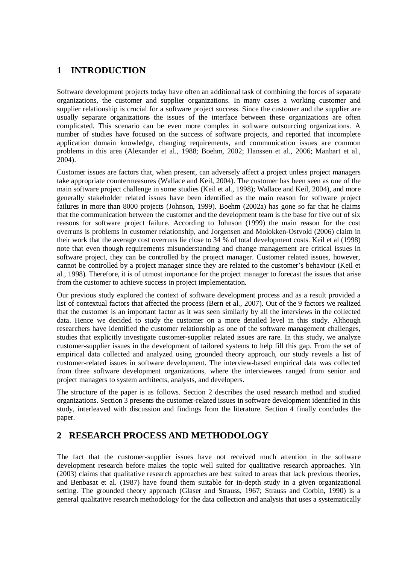# **1 INTRODUCTION**

Software development projects today have often an additional task of combining the forces of separate organizations, the customer and supplier organizations. In many cases a working customer and supplier relationship is crucial for a software project success. Since the customer and the supplier are usually separate organizations the issues of the interface between these organizations are often complicated. This scenario can be even more complex in software outsourcing organizations. A number of studies have focused on the success of software projects, and reported that incomplete application domain knowledge, changing requirements, and communication issues are common problems in this area (Alexander et al., 1988; Boehm, 2002; Hanssen et al., 2006; Manhart et al., 2004).

Customer issues are factors that, when present, can adversely affect a project unless project managers take appropriate countermeasures (Wallace and Keil, 2004). The customer has been seen as one of the main software project challenge in some studies (Keil et al., 1998); Wallace and Keil, 2004), and more generally stakeholder related issues have been identified as the main reason for software project failures in more than 8000 projects (Johnson, 1999). Boehm (2002a) has gone so far that he claims that the communication between the customer and the development team is the base for five out of six reasons for software project failure. According to Johnson (1999) the main reason for the cost overruns is problems in customer relationship, and Jorgensen and Molokken-Ostvold (2006) claim in their work that the average cost overruns lie close to 34 % of total development costs. Keil et al (1998) note that even though requirements misunderstanding and change management are critical issues in software project, they can be controlled by the project manager. Customer related issues, however, cannot be controlled by a project manager since they are related to the customer's behaviour (Keil et al., 1998). Therefore, it is of utmost importance for the project manager to forecast the issues that arise from the customer to achieve success in project implementation.

Our previous study explored the context of software development process and as a result provided a list of contextual factors that affected the process (Bern et al., 2007). Out of the 9 factors we realized that the customer is an important factor as it was seen similarly by all the interviews in the collected data. Hence we decided to study the customer on a more detailed level in this study. Although researchers have identified the customer relationship as one of the software management challenges, studies that explicitly investigate customer-supplier related issues are rare. In this study, we analyze customer-supplier issues in the development of tailored systems to help fill this gap. From the set of empirical data collected and analyzed using grounded theory approach, our study reveals a list of customer-related issues in software development. The interview-based empirical data was collected from three software development organizations, where the interviewees ranged from senior and project managers to system architects, analysts, and developers.

The structure of the paper is as follows. Section 2 describes the used research method and studied organizations. Section 3 presents the customer-related issues in software development identified in this study, interleaved with discussion and findings from the literature. Section 4 finally concludes the paper.

## **2 RESEARCH PROCESS AND METHODOLOGY**

The fact that the customer-supplier issues have not received much attention in the software development research before makes the topic well suited for qualitative research approaches. Yin (2003) claims that qualitative research approaches are best suited to areas that lack previous theories, and Benbasat et al. (1987) have found them suitable for in-depth study in a given organizational setting. The grounded theory approach (Glaser and Strauss, 1967; Strauss and Corbin, 1990) is a general qualitative research methodology for the data collection and analysis that uses a systematically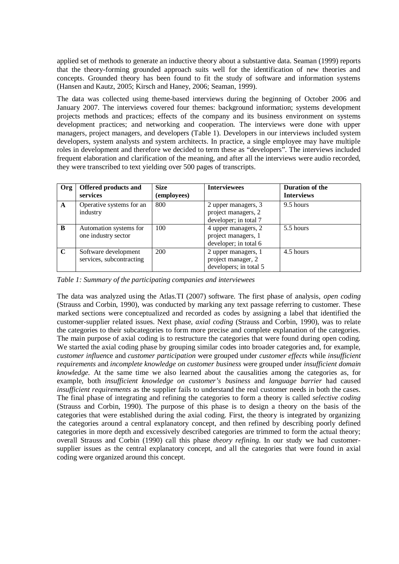applied set of methods to generate an inductive theory about a substantive data. Seaman (1999) reports that the theory-forming grounded approach suits well for the identification of new theories and concepts. Grounded theory has been found to fit the study of software and information systems (Hansen and Kautz, 2005; Kirsch and Haney, 2006; Seaman, 1999).

The data was collected using theme-based interviews during the beginning of October 2006 and January 2007. The interviews covered four themes: background information; systems development projects methods and practices; effects of the company and its business environment on systems development practices; and networking and cooperation. The interviews were done with upper managers, project managers, and developers (Table 1). Developers in our interviews included system developers, system analysts and system architects. In practice, a single employee may have multiple roles in development and therefore we decided to term these as "developers". The interviews included frequent elaboration and clarification of the meaning, and after all the interviews were audio recorded, they were transcribed to text yielding over 500 pages of transcripts.

| <b>Org</b>  | Offered products and<br>services                 | <b>Size</b><br>(employees) | <b>Interviewees</b>                                                 | <b>Duration of the</b><br><b>Interviews</b> |
|-------------|--------------------------------------------------|----------------------------|---------------------------------------------------------------------|---------------------------------------------|
| A           | Operative systems for an<br>industry             | 800                        | 2 upper managers, 3<br>project managers, 2<br>developer; in total 7 | 9.5 hours                                   |
| B           | Automation systems for<br>one industry sector    | 100                        | 4 upper managers, 2<br>project managers, 1<br>developer; in total 6 | 5.5 hours                                   |
| $\mathbf C$ | Software development<br>services, subcontracting | 200                        | 2 upper managers, 1<br>project manager, 2<br>developers; in total 5 | 4.5 hours                                   |

*Table 1: Summary of the participating companies and interviewees*

The data was analyzed using the Atlas.TI (2007) software. The first phase of analysis, *open coding* (Strauss and Corbin, 1990), was conducted by marking any text passage referring to customer. These marked sections were conceptualized and recorded as codes by assigning a label that identified the customer-supplier related issues. Next phase, *axial coding* (Strauss and Corbin, 1990), was to relate the categories to their subcategories to form more precise and complete explanation of the categories. The main purpose of axial coding is to restructure the categories that were found during open coding. We started the axial coding phase by grouping similar codes into broader categories and, for example, *customer influen*ce and *customer participation* were grouped under *customer effects* while *insufficient requirements* and *incomplete knowledge on customer business* were grouped under *insufficient domain knowledge.* At the same time we also learned about the causalities among the categories as, for example, both *insufficient knowledge on customer's business* and *language barrier* had caused *insufficient requirements* as the supplier fails to understand the real customer needs in both the cases. The final phase of integrating and refining the categories to form a theory is called *selective coding* (Strauss and Corbin, 1990). The purpose of this phase is to design a theory on the basis of the categories that were established during the axial coding. First, the theory is integrated by organizing the categories around a central explanatory concept, and then refined by describing poorly defined categories in more depth and excessively described categories are trimmed to form the actual theory; overall Strauss and Corbin (1990) call this phase *theory refining*. In our study we had customersupplier issues as the central explanatory concept, and all the categories that were found in axial coding were organized around this concept.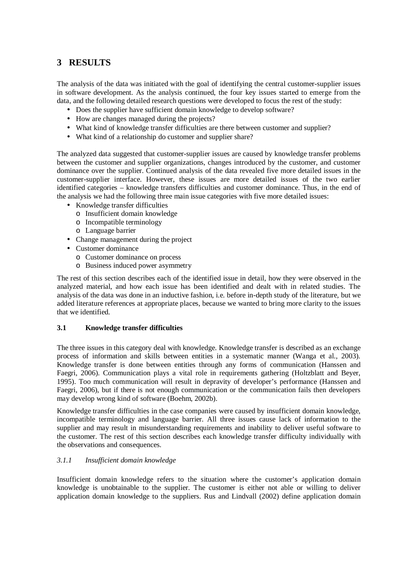# **3 RESULTS**

The analysis of the data was initiated with the goal of identifying the central customer-supplier issues in software development. As the analysis continued, the four key issues started to emerge from the data, and the following detailed research questions were developed to focus the rest of the study:

- Does the supplier have sufficient domain knowledge to develop software?
- How are changes managed during the projects?
- What kind of knowledge transfer difficulties are there between customer and supplier?
- What kind of a relationship do customer and supplier share?

The analyzed data suggested that customer-supplier issues are caused by knowledge transfer problems between the customer and supplier organizations, changes introduced by the customer, and customer dominance over the supplier. Continued analysis of the data revealed five more detailed issues in the customer-supplier interface. However, these issues are more detailed issues of the two earlier identified categories – knowledge transfers difficulties and customer dominance. Thus, in the end of the analysis we had the following three main issue categories with five more detailed issues:

- Knowledge transfer difficulties
	- o Insufficient domain knowledge
	- o Incompatible terminology
	- o Language barrier
- Change management during the project
- Customer dominance
	- o Customer dominance on process
	- o Business induced power asymmetry

The rest of this section describes each of the identified issue in detail, how they were observed in the analyzed material, and how each issue has been identified and dealt with in related studies. The analysis of the data was done in an inductive fashion, i.e. before in-depth study of the literature, but we added literature references at appropriate places, because we wanted to bring more clarity to the issues that we identified.

## **3.1 Knowledge transfer difficulties**

The three issues in this category deal with knowledge. Knowledge transfer is described as an exchange process of information and skills between entities in a systematic manner (Wanga et al., 2003). Knowledge transfer is done between entities through any forms of communication (Hanssen and Faegri, 2006). Communication plays a vital role in requirements gathering (Holtzblatt and Beyer, 1995). Too much communication will result in depravity of developer's performance (Hanssen and Faegri, 2006), but if there is not enough communication or the communication fails then developers may develop wrong kind of software (Boehm, 2002b).

Knowledge transfer difficulties in the case companies were caused by insufficient domain knowledge, incompatible terminology and language barrier. All three issues cause lack of information to the supplier and may result in misunderstanding requirements and inability to deliver useful software to the customer. The rest of this section describes each knowledge transfer difficulty individually with the observations and consequences.

## *3.1.1 Insufficient domain knowledge*

Insufficient domain knowledge refers to the situation where the customer's application domain knowledge is unobtainable to the supplier. The customer is either not able or willing to deliver application domain knowledge to the suppliers. Rus and Lindvall (2002) define application domain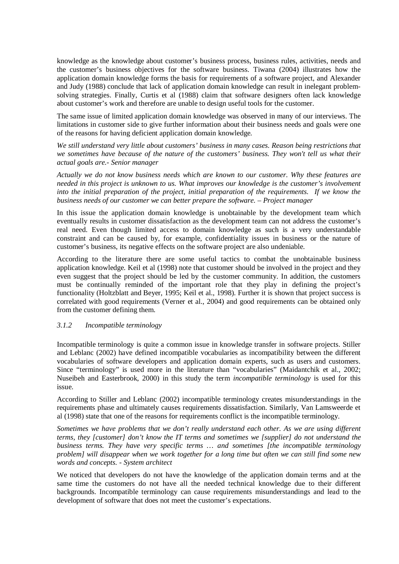knowledge as the knowledge about customer's business process, business rules, activities, needs and the customer's business objectives for the software business. Tiwana (2004) illustrates how the application domain knowledge forms the basis for requirements of a software project, and Alexander and Judy (1988) conclude that lack of application domain knowledge can result in inelegant problemsolving strategies. Finally, Curtis et al (1988) claim that software designers often lack knowledge about customer's work and therefore are unable to design useful tools for the customer.

The same issue of limited application domain knowledge was observed in many of our interviews. The limitations in customer side to give further information about their business needs and goals were one of the reasons for having deficient application domain knowledge.

*We still understand very little about customers' business in many cases. Reason being restrictions that we sometimes have because of the nature of the customers' business. They won't tell us what their actual goals are.- Senior manager*

*Actually we do not know business needs which are known to our customer. Why these features are needed in this project is unknown to us. What improves our knowledge is the customer's involvement into the initial preparation of the project, initial preparation of the requirements. If we know the business needs of our customer we can better prepare the software. – Project manager*

In this issue the application domain knowledge is unobtainable by the development team which eventually results in customer dissatisfaction as the development team can not address the customer's real need. Even though limited access to domain knowledge as such is a very understandable constraint and can be caused by, for example, confidentiality issues in business or the nature of customer's business, its negative effects on the software project are also undeniable.

According to the literature there are some useful tactics to combat the unobtainable business application knowledge. Keil et al (1998) note that customer should be involved in the project and they even suggest that the project should be led by the customer community. In addition, the customers must be continually reminded of the important role that they play in defining the project's functionality (Holtzblatt and Beyer, 1995; Keil et al., 1998). Further it is shown that project success is correlated with good requirements (Verner et al., 2004) and good requirements can be obtained only from the customer defining them.

## *3.1.2 Incompatible terminology*

Incompatible terminology is quite a common issue in knowledge transfer in software projects. Stiller and Leblanc (2002) have defined incompatible vocabularies as incompatibility between the different vocabularies of software developers and application domain experts, such as users and customers. Since "terminology" is used more in the literature than "vocabularies" (Maidantchik et al., 2002; Nuseibeh and Easterbrook, 2000) in this study the term *incompatible terminology* is used for this issue.

According to Stiller and Leblanc (2002) incompatible terminology creates misunderstandings in the requirements phase and ultimately causes requirements dissatisfaction. Similarly, Van Lamsweerde et al (1998) state that one of the reasons for requirements conflict is the incompatible terminology.

*Sometimes we have problems that we don't really understand each other. As we are using different terms, they [customer] don't know the IT terms and sometimes we [supplier] do not understand the business terms. They have very specific terms … and sometimes [the incompatible terminology problem] will disappear when we work together for a long time but often we can still find some new words and concepts. - System architect*

We noticed that developers do not have the knowledge of the application domain terms and at the same time the customers do not have all the needed technical knowledge due to their different backgrounds. Incompatible terminology can cause requirements misunderstandings and lead to the development of software that does not meet the customer's expectations.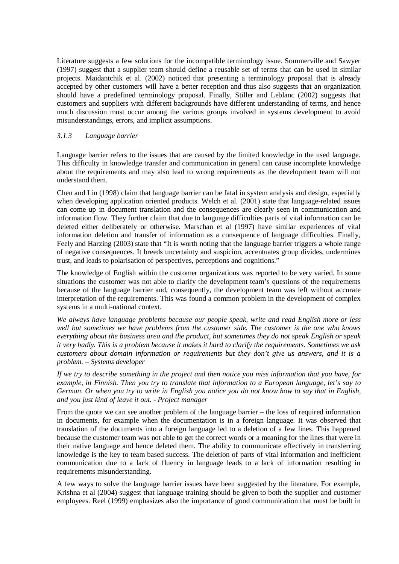Literature suggests a few solutions for the incompatible terminology issue. Sommerville and Sawyer (1997) suggest that a supplier team should define a reusable set of terms that can be used in similar projects. Maidantchik et al. (2002) noticed that presenting a terminology proposal that is already accepted by other customers will have a better reception and thus also suggests that an organization should have a predefined terminology proposal. Finally, Stiller and Leblanc (2002) suggests that customers and suppliers with different backgrounds have different understanding of terms, and hence much discussion must occur among the various groups involved in systems development to avoid misunderstandings, errors, and implicit assumptions.

#### *3.1.3 Language barrier*

Language barrier refers to the issues that are caused by the limited knowledge in the used language. This difficulty in knowledge transfer and communication in general can cause incomplete knowledge about the requirements and may also lead to wrong requirements as the development team will not understand them.

Chen and Lin (1998) claim that language barrier can be fatal in system analysis and design, especially when developing application oriented products. Welch et al. (2001) state that language-related issues can come up in document translation and the consequences are clearly seen in communication and information flow. They further claim that due to language difficulties parts of vital information can be deleted either deliberately or otherwise. Marschan et al (1997) have similar experiences of vital information deletion and transfer of information as a consequence of language difficulties. Finally, Feely and Harzing (2003) state that "It is worth noting that the language barrier triggers a whole range of negative consequences. It breeds uncertainty and suspicion, accentuates group divides, undermines trust, and leads to polarisation of perspectives, perceptions and cognitions."

The knowledge of English within the customer organizations was reported to be very varied. In some situations the customer was not able to clarify the development team's questions of the requirements because of the language barrier and, consequently, the development team was left without accurate interpretation of the requirements. This was found a common problem in the development of complex systems in a multi-national context.

*We always have language problems because our people speak, write and read English more or less well but sometimes we have problems from the customer side. The customer is the one who knows everything about the business area and the product, but sometimes they do not speak English or speak it very badly. This is a problem because it makes it hard to clarify the requirements. Sometimes we ask customers about domain information or requirements but they don't give us answers, and it is a problem. – Systems developer*

*If we try to describe something in the project and then notice you miss information that you have, for example, in Finnish. Then you try to translate that information to a European language, let's say to German. Or when you try to write in English you notice you do not know how to say that in English, and you just kind of leave it out. - Project manager*

From the quote we can see another problem of the language barrier – the loss of required information in documents, for example when the documentation is in a foreign language. It was observed that translation of the documents into a foreign language led to a deletion of a few lines. This happened because the customer team was not able to get the correct words or a meaning for the lines that were in their native language and hence deleted them. The ability to communicate effectively in transferring knowledge is the key to team based success. The deletion of parts of vital information and inefficient communication due to a lack of fluency in language leads to a lack of information resulting in requirements misunderstanding.

A few ways to solve the language barrier issues have been suggested by the literature. For example, Krishna et al (2004) suggest that language training should be given to both the supplier and customer employees. Reel (1999) emphasizes also the importance of good communication that must be built in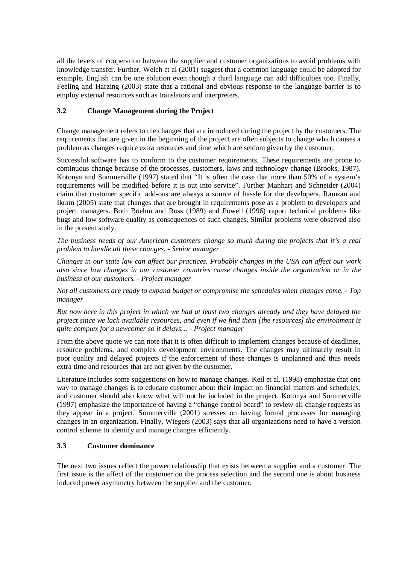all the levels of cooperation between the supplier and customer organizations to avoid problems with knowledge transfer. Further, Welch et al (2001) suggest that a common language could be adopted for example, English can be one solution even though a third language can add difficulties too. Finally, Feeling and Harzing (2003) state that a rational and obvious response to the language barrier is to employ external resources such as translators and interpreters.

## **3.2 Change Management during the Project**

Change management refers to the changes that are introduced during the project by the customers. The requirements that are given in the beginning of the project are often subjects to change which causes a problem as changes require extra resources and time which are seldom given by the customer.

Successful software has to conform to the customer requirements. These requirements are prone to continuous change because of the processes, customers, laws and technology change (Brooks, 1987). Kotonya and Sommerville (1997) stated that "It is often the case that more than 50% of a system's requirements will be modified before it is out into service". Further Manhart and Schneider (2004) claim that customer specific add-ons are always a source of hassle for the developers. Ramzan and Ikram (2005) state that changes that are brought in requirements pose as a problem to developers and project managers. Both Boehm and Ross (1989) and Powell (1996) report technical problems like bugs and low software quality as consequences of such changes. Similar problems were observed also in the present study.

*The business needs of our American customers change so much during the projects that it's a real problem to handle all these changes. - Senior manager*

*Changes in our state law can affect our practices. Probably changes in the USA can affect our work also since law changes in our customer countries cause changes inside the organization or in the business of our customers. - Project manager*

*Not all customers are ready to expand budget or compromise the schedules when changes come. - Top manager*

*But now here in this project in which we had at least two changes already and they have delayed the project since we lack available resources, and even if we find them [the resources] the environment is quite complex for a newcomer so it delays… - Project manager*

From the above quote we can note that it is often difficult to implement changes because of deadlines, resource problems, and complex development environments. The changes may ultimately result in poor quality and delayed projects if the enforcement of these changes is unplanned and thus needs extra time and resources that are not given by the customer.

Literature includes some suggestions on how to manage changes. Keil et al. (1998) emphasize that one way to manage changes is to educate customer about their impact on financial matters and schedules, and customer should also know what will not be included in the project. Kotonya and Sommerville (1997) emphasize the importance of having a "change control board" to review all change requests as they appear in a project. Sommerville (2001) stresses on having formal processes for managing changes in an organization. Finally, Wiegers (2003) says that all organizations need to have a version control scheme to identify and manage changes efficiently.

## **3.3 Customer dominance**

The next two issues reflect the power relationship that exists between a supplier and a customer. The first issue is the affect of the customer on the process selection and the second one is about business induced power asymmetry between the supplier and the customer.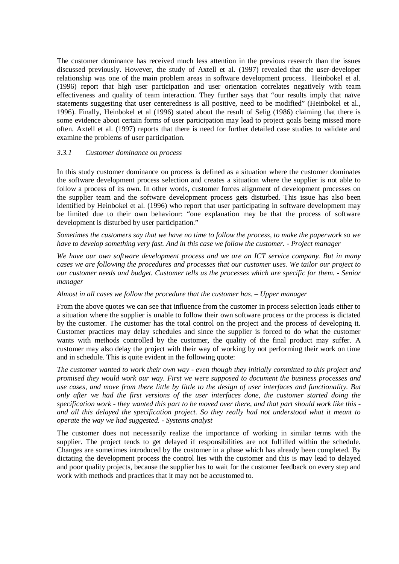The customer dominance has received much less attention in the previous research than the issues discussed previously. However, the study of Axtell et al. (1997) revealed that the user-developer relationship was one of the main problem areas in software development process. Heinbokel et al. (1996) report that high user participation and user orientation correlates negatively with team effectiveness and quality of team interaction. They further says that "our results imply that naïve statements suggesting that user centeredness is all positive, need to be modified" (Heinbokel et al., 1996). Finally, Heinbokel et al (1996) stated about the result of Selig (1986) claiming that there is some evidence about certain forms of user participation may lead to project goals being missed more often. Axtell et al. (1997) reports that there is need for further detailed case studies to validate and examine the problems of user participation.

#### *3.3.1 Customer dominance on process*

In this study customer dominance on process is defined as a situation where the customer dominates the software development process selection and creates a situation where the supplier is not able to follow a process of its own. In other words, customer forces alignment of development processes on the supplier team and the software development process gets disturbed. This issue has also been identified by Heinbokel et al. (1996) who report that user participating in software development may be limited due to their own behaviour: "one explanation may be that the process of software development is disturbed by user participation."

*Sometimes the customers say that we have no time to follow the process, to make the paperwork so we have to develop something very fast. And in this case we follow the customer. - Project manager*

*We have our own software development process and we are an ICT service company. But in many cases we are following the procedures and processes that our customer uses. We tailor our project to our customer needs and budget. Customer tells us the processes which are specific for them. - Senior manager*

#### *Almost in all cases we follow the procedure that the customer has. – Upper manager*

From the above quotes we can see that influence from the customer in process selection leads either to a situation where the supplier is unable to follow their own software process or the process is dictated by the customer. The customer has the total control on the project and the process of developing it. Customer practices may delay schedules and since the supplier is forced to do what the customer wants with methods controlled by the customer, the quality of the final product may suffer. A customer may also delay the project with their way of working by not performing their work on time and in schedule. This is quite evident in the following quote:

*The customer wanted to work their own way - even though they initially committed to this project and promised they would work our way. First we were supposed to document the business processes and use cases, and move from there little by little to the design of user interfaces and functionality. But only after we had the first versions of the user interfaces done, the customer started doing the specification work - they wanted this part to be moved over there, and that part should work like this and all this delayed the specification project. So they really had not understood what it meant to operate the way we had suggested. - Systems analyst*

The customer does not necessarily realize the importance of working in similar terms with the supplier. The project tends to get delayed if responsibilities are not fulfilled within the schedule. Changes are sometimes introduced by the customer in a phase which has already been completed. By dictating the development process the control lies with the customer and this is may lead to delayed and poor quality projects, because the supplier has to wait for the customer feedback on every step and work with methods and practices that it may not be accustomed to.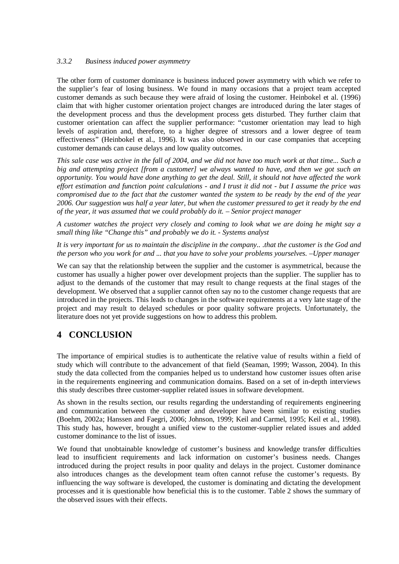#### *3.3.2 Business induced power asymmetry*

The other form of customer dominance is business induced power asymmetry with which we refer to the supplier's fear of losing business. We found in many occasions that a project team accepted customer demands as such because they were afraid of losing the customer. Heinbokel et al. (1996) claim that with higher customer orientation project changes are introduced during the later stages of the development process and thus the development process gets disturbed. They further claim that customer orientation can affect the supplier performance: "customer orientation may lead to high levels of aspiration and, therefore, to a higher degree of stressors and a lower degree of team effectiveness" (Heinbokel et al., 1996). It was also observed in our case companies that accepting customer demands can cause delays and low quality outcomes.

*This sale case was active in the fall of 2004, and we did not have too much work at that time... Such a big and attempting project [from a customer] we always wanted to have, and then we got such an opportunity. You would have done anything to get the deal. Still, it should not have affected the work effort estimation and function point calculations - and I trust it did not - but I assume the price was compromised due to the fact that the customer wanted the system to be ready by the end of the year 2006. Our suggestion was half a year later, but when the customer pressured to get it ready by the end of the year, it was assumed that we could probably do it. – Senior project manager*

*A customer watches the project very closely and coming to look what we are doing he might say a small thing like "Change this" and probably we do it. - Systems analyst*

*It is very important for us to maintain the discipline in the company.. .that the customer is the God and the person who you work for and ... that you have to solve your problems yourselves. –Upper manager*

We can say that the relationship between the supplier and the customer is asymmetrical, because the customer has usually a higher power over development projects than the supplier. The supplier has to adjust to the demands of the customer that may result to change requests at the final stages of the development. We observed that a supplier cannot often say no to the customer change requests that are introduced in the projects. This leads to changes in the software requirements at a very late stage of the project and may result to delayed schedules or poor quality software projects. Unfortunately, the literature does not yet provide suggestions on how to address this problem.

## **4 CONCLUSION**

The importance of empirical studies is to authenticate the relative value of results within a field of study which will contribute to the advancement of that field (Seaman, 1999; Wasson, 2004). In this study the data collected from the companies helped us to understand how customer issues often arise in the requirements engineering and communication domains. Based on a set of in-depth interviews this study describes three customer-supplier related issues in software development.

As shown in the results section, our results regarding the understanding of requirements engineering and communication between the customer and developer have been similar to existing studies (Boehm, 2002a; Hanssen and Faegri, 2006; Johnson, 1999; Keil and Carmel, 1995; Keil et al., 1998). This study has, however, brought a unified view to the customer-supplier related issues and added customer dominance to the list of issues.

We found that unobtainable knowledge of customer's business and knowledge transfer difficulties lead to insufficient requirements and lack information on customer's business needs. Changes introduced during the project results in poor quality and delays in the project. Customer dominance also introduces changes as the development team often cannot refuse the customer's requests. By influencing the way software is developed, the customer is dominating and dictating the development processes and it is questionable how beneficial this is to the customer. Table 2 shows the summary of the observed issues with their effects.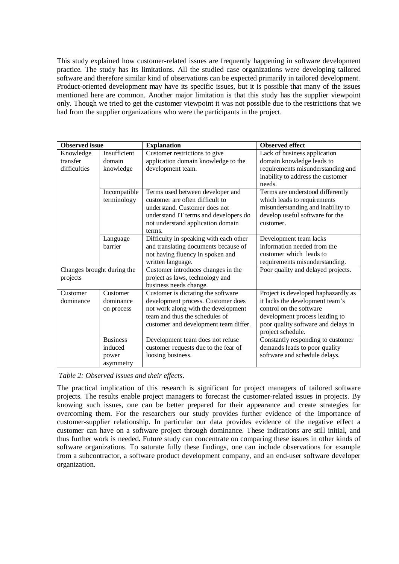This study explained how customer-related issues are frequently happening in software development practice. The study has its limitations. All the studied case organizations were developing tailored software and therefore similar kind of observations can be expected primarily in tailored development. Product-oriented development may have its specific issues, but it is possible that many of the issues mentioned here are common. Another major limitation is that this study has the supplier viewpoint only. Though we tried to get the customer viewpoint it was not possible due to the restrictions that we had from the supplier organizations who were the participants in the project.

| <b>Observed</b> issue      |                 | <b>Explanation</b>                     | <b>Observed effect</b>              |
|----------------------------|-----------------|----------------------------------------|-------------------------------------|
| Knowledge                  | Insufficient    | Customer restrictions to give          | Lack of business application        |
| transfer                   | domain          | application domain knowledge to the    | domain knowledge leads to           |
| difficulties               | knowledge       | development team.                      | requirements misunderstanding and   |
|                            |                 |                                        | inability to address the customer   |
|                            |                 |                                        | needs.                              |
|                            | Incompatible    | Terms used between developer and       | Terms are understood differently    |
|                            | terminology     | customer are often difficult to        | which leads to requirements         |
|                            |                 | understand. Customer does not          | misunderstanding and inability to   |
|                            |                 | understand IT terms and developers do  | develop useful software for the     |
|                            |                 | not understand application domain      | customer.                           |
|                            |                 | terms.                                 |                                     |
|                            | Language        | Difficulty in speaking with each other | Development team lacks              |
|                            | barrier         | and translating documents because of   | information needed from the         |
|                            |                 | not having fluency in spoken and       | customer which leads to             |
|                            |                 | written language.                      | requirements misunderstanding.      |
| Changes brought during the |                 | Customer introduces changes in the     | Poor quality and delayed projects.  |
| projects                   |                 | project as laws, technology and        |                                     |
|                            |                 | business needs change.                 |                                     |
| Customer                   | Customer        | Customer is dictating the software     | Project is developed haphazardly as |
| dominance                  | dominance       | development process. Customer does     | it lacks the development team's     |
|                            | on process      | not work along with the development    | control on the software             |
|                            |                 | team and thus the schedules of         | development process leading to      |
|                            |                 | customer and development team differ.  | poor quality software and delays in |
|                            |                 |                                        | project schedule.                   |
|                            | <b>Business</b> | Development team does not refuse       | Constantly responding to customer   |
|                            | induced         | customer requests due to the fear of   | demands leads to poor quality       |
|                            | power           | loosing business.                      | software and schedule delays.       |
|                            | asymmetry       |                                        |                                     |

*Table 2: Observed issues and their effects*.

The practical implication of this research is significant for project managers of tailored software projects. The results enable project managers to forecast the customer-related issues in projects. By knowing such issues, one can be better prepared for their appearance and create strategies for overcoming them. For the researchers our study provides further evidence of the importance of customer-supplier relationship. In particular our data provides evidence of the negative effect a customer can have on a software project through dominance. These indications are still initial, and thus further work is needed. Future study can concentrate on comparing these issues in other kinds of software organizations. To saturate fully these findings, one can include observations for example from a subcontractor, a software product development company, and an end-user software developer organization.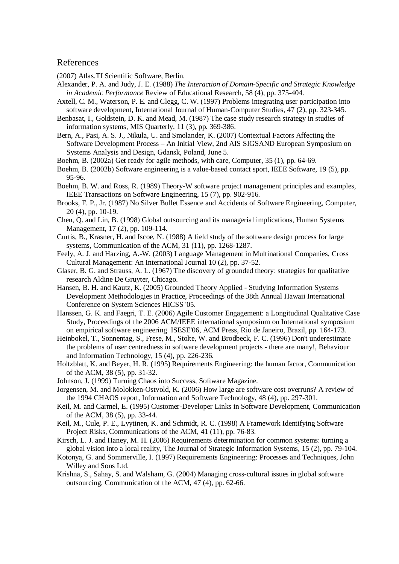#### References

(2007) Atlas.TI Scientific Software, Berlin.

- Alexander, P. A. and Judy, J. E. (1988) *The Interaction of Domain-Specific and Strategic Knowledge in Academic Performance* Review of Educational Research*,* 58 (4), pp. 375-404.
- Axtell, C. M., Waterson, P. E. and Clegg, C. W. (1997) Problems integrating user participation into software development, International Journal of Human-Computer Studies, 47 (2), pp. 323-345.
- Benbasat, I., Goldstein, D. K. and Mead, M. (1987) The case study research strategy in studies of information systems, MIS Quarterly, 11 (3), pp. 369-386.
- Bern, A., Pasi, A. S. J., Nikula, U. and Smolander, K. (2007) Contextual Factors Affecting the Software Development Process – An Initial View, 2nd AIS SIGSAND European Symposium on Systems Analysis and Design, Gdansk, Poland, June 5.
- Boehm, B. (2002a) Get ready for agile methods, with care, Computer, 35 (1), pp. 64-69.
- Boehm, B. (2002b) Software engineering is a value-based contact sport, IEEE Software, 19 (5), pp. 95-96.
- Boehm, B. W. and Ross, R. (1989) Theory-W software project management principles and examples, IEEE Transactions on Software Engineering, 15 (7), pp. 902-916.
- Brooks, F. P., Jr. (1987) No Silver Bullet Essence and Accidents of Software Engineering, Computer, 20 (4), pp. 10-19.
- Chen, Q. and Lin, B. (1998) Global outsourcing and its managerial implications, Human Systems Management, 17 (2), pp. 109-114.
- Curtis, B., Krasner, H. and Iscoe, N. (1988) A field study of the software design process for large systems, Communication of the ACM, 31 (11), pp. 1268-1287.
- Feely, A. J. and Harzing, A.-W. (2003) Language Management in Multinational Companies, Cross Cultural Management: An International Journal 10 (2), pp. 37-52.
- Glaser, B. G. and Strauss, A. L. (1967) The discovery of grounded theory: strategies for qualitative research Aldine De Gruyter, Chicago.
- Hansen, B. H. and Kautz, K. (2005) Grounded Theory Applied Studying Information Systems Development Methodologies in Practice, Proceedings of the 38th Annual Hawaii International Conference on System Sciences HICSS '05.
- Hanssen, G. K. and Faegri, T. E. (2006) Agile Customer Engagement: a Longitudinal Qualitative Case Study, Proceedings of the 2006 ACM/IEEE international symposium on International symposium on empirical software engineering ISESE'06, ACM Press, Rio de Janeiro, Brazil, pp. 164-173.
- Heinbokel, T., Sonnentag, S., Frese, M., Stolte, W. and Brodbeck, F. C. (1996) Don't underestimate the problems of user centredness in software development projects - there are many!, Behaviour and Information Technology, 15 (4), pp. 226-236.
- Holtzblatt, K. and Beyer, H. R. (1995) Requirements Engineering: the human factor, Communication of the ACM, 38 (5), pp. 31-32.
- Johnson, J. (1999) Turning Chaos into Success, Software Magazine.
- Jorgensen, M. and Molokken-Ostvold, K. (2006) How large are software cost overruns? A review of the 1994 CHAOS report, Information and Software Technology, 48 (4), pp. 297-301.
- Keil, M. and Carmel, E. (1995) Customer-Developer Links in Software Development, Communication of the ACM, 38 (5), pp. 33-44.
- Keil, M., Cule, P. E., Lyytinen, K. and Schmidt, R. C. (1998) A Framework Identifying Software Project Risks, Communications of the ACM, 41 (11), pp. 76-83.
- Kirsch, L. J. and Haney, M. H. (2006) Requirements determination for common systems: turning a global vision into a local reality, The Journal of Strategic Information Systems, 15 (2), pp. 79-104.
- Kotonya, G. and Sommerville, I. (1997) Requirements Engineering: Processes and Techniques, John Willey and Sons Ltd.
- Krishna, S., Sahay, S. and Walsham, G. (2004) Managing cross-cultural issues in global software outsourcing, Communication of the ACM, 47 (4), pp. 62-66.